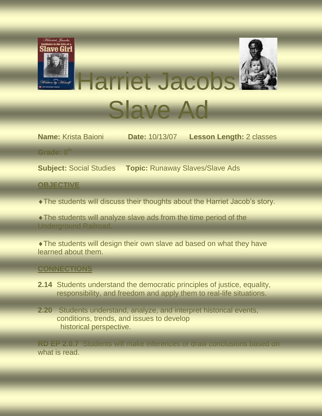

**Name:** Krista Baioni **Date:** 10/13/07 **Lesson Length:** 2 classes

Grade: 8<sup>th</sup>

**Subject:** Social Studies **Topic:** Runaway Slaves/Slave Ads

**OBJECTIVE**

The students will discuss their thoughts about the Harriet Jacob's story.

The students will analyze slave ads from the time period of the Underground Railroad.

The students will design their own slave ad based on what they have learned about them.

#### **CONNECTIONS**

- **2.14** Students understand the democratic principles of justice, equality, responsibility, and freedom and apply them to real-life situations.
- **2.20** Students understand, analyze, and interpret historical events, conditions, trends, and issues to develop historical perspective.

**RD EP 2.0.7** Students will make inferences or draw conclusions based on what is read.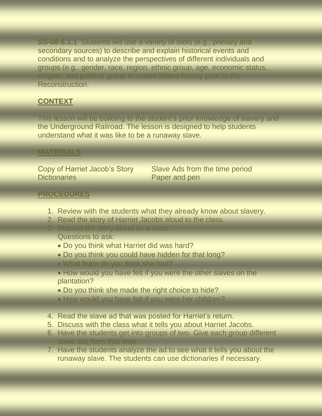**SS-08-5.1.1** Students will use a variety of tools (e.g., primary and secondary sources) to describe and explain historical events and conditions and to analyze the perspectives of different individuals and groups (e.g., gender, race, region, ethnic group, age, economic status, religion, and political group in United States history prior to the Reconstruction.

# **CONTEXT**

This lesson will be building to the student's prior knowledge of slavery and the Underground Railroad. The lesson is designed to help students understand what it was like to be a runaway slave.

### **MATERIALS**

Dictionaries **Paper and pen** 

Copy of Harriet Jacob's Story Slave Ads from the time period

## **PROCEDURES**

- 1. Review with the students what they already know about slavery.
- 2. Read the story of Harriet Jacobs aloud to the class.
- 3. Discuss the story aloud as a class.
	- Questions to ask:
	- Do you think what Harriet did was hard?
	- Do you think you could have hidden for that long?
	- What fears do you think she had?

• How would you have felt if you were the other slaves on the plantation?

- Do you think she made the right choice to hide?
- How would you have felt if you were her children?
- 4. Read the slave ad that was posted for Harriet's return.
- 5. Discuss with the class what it tells you about Harriet Jacobs.
- 6. Have the students get into groups of two. Give each group different slave ads from that time.
- 7. Have the students analyze the ad to see what it tells you about the runaway slave. The students can use dictionaries if necessary.